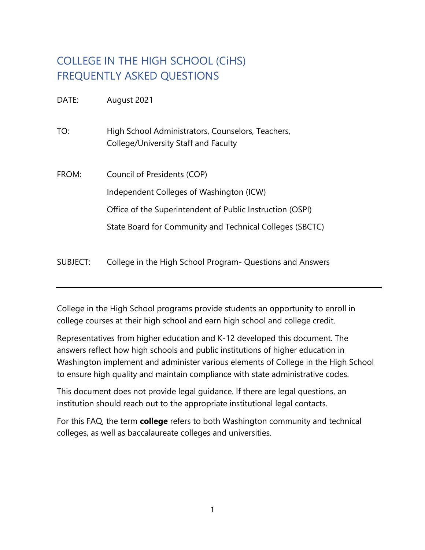# COLLEGE IN THE HIGH SCHOOL (CiHS) FREQUENTLY ASKED QUESTIONS

DATE: August 2021

TO: High School Administrators, Counselors, Teachers, College/University Staff and Faculty

- FROM: Council of Presidents (COP) Independent Colleges of Washington (ICW) Office of the Superintendent of Public Instruction (OSPI) State Board for Community and Technical Colleges (SBCTC)
- SUBJECT: College in the High School Program- Questions and Answers

College in the High School programs provide students an opportunity to enroll in college courses at their high school and earn high school and college credit.

Representatives from higher education and K-12 developed this document. The answers reflect how high schools and public institutions of higher education in Washington implement and administer various elements of College in the High School to ensure high quality and maintain compliance with state administrative codes.

This document does not provide legal guidance. If there are legal questions, an institution should reach out to the appropriate institutional legal contacts.

For this FAQ, the term **college** refers to both Washington community and technical colleges, as well as baccalaureate colleges and universities.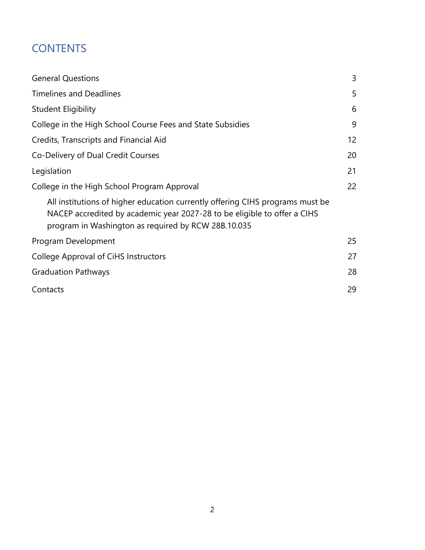# <span id="page-1-0"></span>**CONTENTS**

| <b>General Questions</b>                                                                                                                                                                                         | 3                 |  |  |  |
|------------------------------------------------------------------------------------------------------------------------------------------------------------------------------------------------------------------|-------------------|--|--|--|
| <b>Timelines and Deadlines</b>                                                                                                                                                                                   | 5                 |  |  |  |
| <b>Student Eligibility</b>                                                                                                                                                                                       | 6                 |  |  |  |
| College in the High School Course Fees and State Subsidies                                                                                                                                                       |                   |  |  |  |
| Credits, Transcripts and Financial Aid                                                                                                                                                                           | $12 \overline{ }$ |  |  |  |
| Co-Delivery of Dual Credit Courses                                                                                                                                                                               |                   |  |  |  |
| Legislation                                                                                                                                                                                                      | 21                |  |  |  |
| College in the High School Program Approval                                                                                                                                                                      |                   |  |  |  |
| All institutions of higher education currently offering CIHS programs must be<br>NACEP accredited by academic year 2027-28 to be eligible to offer a CIHS<br>program in Washington as required by RCW 28B.10.035 |                   |  |  |  |
| Program Development                                                                                                                                                                                              | 25                |  |  |  |
| College Approval of CiHS Instructors                                                                                                                                                                             |                   |  |  |  |
| <b>Graduation Pathways</b>                                                                                                                                                                                       |                   |  |  |  |
| Contacts                                                                                                                                                                                                         | 29                |  |  |  |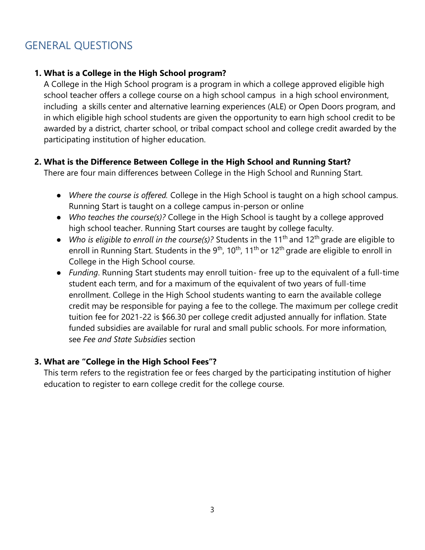# GENERAL QUESTIONS

## **1. What is a College in the High School program?**

A College in the High School program is a program in which a college approved eligible high school teacher offers a college course on a high school campus in a high school environment, including a skills center and alternative learning experiences (ALE) or Open Doors program, and in which eligible high school students are given the opportunity to earn high school credit to be awarded by a district, charter school, or tribal compact school and college credit awarded by the participating institution of higher education.

#### **2. What is the Difference Between College in the High School and Running Start?**

There are four main differences between College in the High School and Running Start.

- *Where the course is offered.* College in the High School is taught on a high school campus. Running Start is taught on a college campus in-person or online
- *Who teaches the course(s)?* College in the High School is taught by a college approved high school teacher. Running Start courses are taught by college faculty.
- *Who is eligible to enroll in the course(s)?* Students in the 11<sup>th</sup> and 12<sup>th</sup> grade are eligible to enroll in Running Start. Students in the  $9<sup>th</sup>$ , 10<sup>th</sup>, 11<sup>th</sup> or 12<sup>th</sup> grade are eligible to enroll in College in the High School course.
- *Funding*. Running Start students may enroll tuition- free up to the equivalent of a full-time student each term, and for a maximum of the equivalent of two years of full-time enrollment. College in the High School students wanting to earn the available college credit may be responsible for paying a fee to the college. The maximum per college credit tuition fee for 2021-22 is \$66.30 per college credit adjusted annually for inflation. State funded subsidies are available for rural and small public schools. For more information, see *Fee and State Subsidies* section

#### **3. What are "College in the High School Fees"?**

This term refers to the registration fee or fees charged by the participating institution of higher education to register to earn college credit for the college course.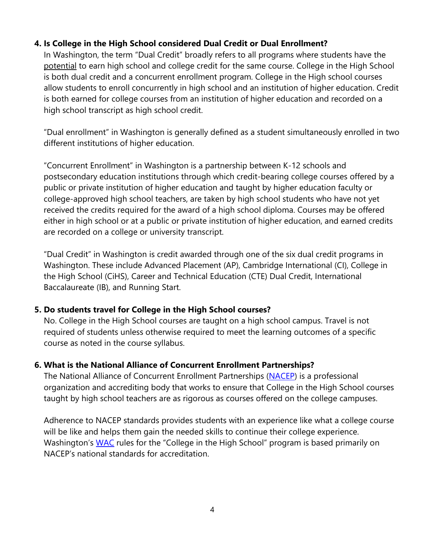## **4. Is College in the High School considered Dual Credit or Dual Enrollment?**

In Washington, the term "Dual Credit" broadly refers to all programs where students have the potential to earn high school and college credit for the same course. College in the High School is both dual credit and a concurrent enrollment program. College in the High school courses allow students to enroll concurrently in high school and an institution of higher education. Credit is both earned for college courses from an institution of higher education and recorded on a high school transcript as high school credit.

"Dual enrollment" in Washington is generally defined as a student simultaneously enrolled in two different institutions of higher education.

"Concurrent Enrollment" in Washington is a partnership between K-12 schools and postsecondary education institutions through which credit-bearing college courses offered by a public or private institution of higher education and taught by higher education faculty or college-approved high school teachers, are taken by high school students who have not yet received the credits required for the award of a high school diploma. Courses may be offered either in high school or at a public or private institution of higher education, and earned credits are recorded on a college or university transcript.

"Dual Credit" in Washington is credit awarded through one of the six dual credit programs in Washington. These include Advanced Placement (AP), Cambridge International (CI), College in the High School (CiHS), Career and Technical Education (CTE) Dual Credit, International Baccalaureate (IB), and Running Start.

#### **5. Do students travel for College in the High School courses?**

No. College in the High School courses are taught on a high school campus. Travel is not required of students unless otherwise required to meet the learning outcomes of a specific course as noted in the course syllabus.

## **6. What is the National Alliance of Concurrent Enrollment Partnerships?**

The National Alliance of Concurrent Enrollment Partnerships [\(NACEP\)](about:blank) is a professional organization and accrediting body that works to ensure that College in the High School courses taught by high school teachers are as rigorous as courses offered on the college campuses.

Adherence to NACEP standards provides students with an experience like what a college course will be like and helps them gain the needed skills to continue their college experience. Washington's [WAC](https://apps.leg.wa.gov/wac/default.aspx?cite=392-725) rules for the "College in the High School" program is based primarily on NACEP's national standards for accreditation.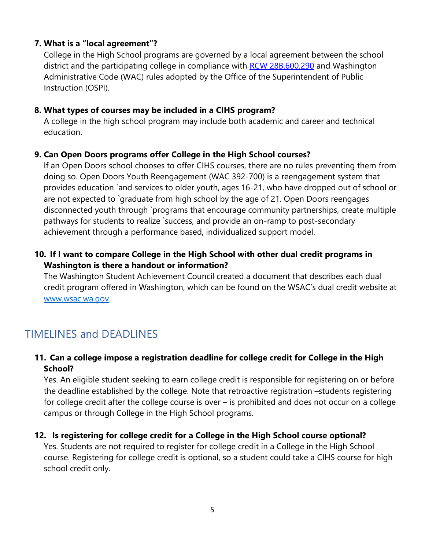## **7. What is a "local agreement"?**

College in the High School programs are governed by a local agreement between the school district and the participating college in compliance with [RCW 28B.600.290](https://app.leg.wa.gov/RCW/default.aspx?cite=28A.600.290) and Washington Administrative Code (WAC) rules adopted by the Office of the Superintendent of Public Instruction (OSPI).

### **8. What types of courses may be included in a CIHS program?**

A college in the high school program may include both academic and career and technical education.

### **9. Can Open Doors programs offer College in the High School courses?**

If an Open Doors school chooses to offer CIHS courses, there are no rules preventing them from doing so. Open Doors Youth Reengagement (WAC 392-700) is a reengagement system that provides education `and services to older youth, ages 16-21, who have dropped out of school or are not expected to `graduate from high school by the age of 21. Open Doors reengages disconnected youth through `programs that encourage community partnerships, create multiple pathways for students to realize `success, and provide an on-ramp to post-secondary achievement through a performance based, individualized support model.

## **10. If I want to compare College in the High School with other dual credit programs in Washington is there a handout or information?**

The Washington Student Achievement Council created a document that describes each dual credit program offered in Washington, which can be found on the WSAC's dual credit website at [www.wsac.wa.gov.](https://www.wsac.wa.gov/)

## <span id="page-4-0"></span>TIMELINES and DEADLINES

## **11. Can a college impose a registration deadline for college credit for College in the High School?**

Yes. An eligible student seeking to earn college credit is responsible for registering on or before the deadline established by the college. Note that retroactive registration –students registering for college credit after the college course is over – is prohibited and does not occur on a college campus or through College in the High School programs.

#### **12. Is registering for college credit for a College in the High School course optional?**

Yes. Students are not required to register for college credit in a College in the High School course. Registering for college credit is optional, so a student could take a CIHS course for high school credit only.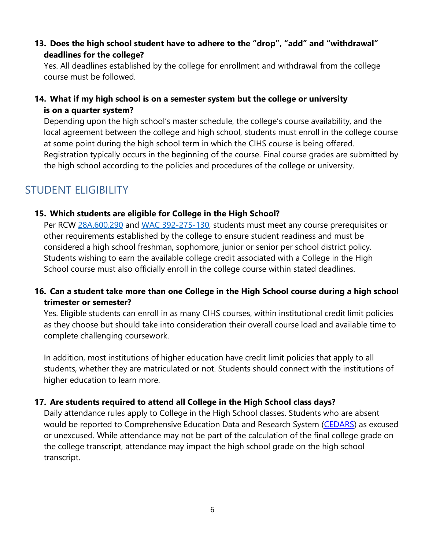**13. Does the high school student have to adhere to the "drop", "add" and "withdrawal" deadlines for the college?**

Yes. All deadlines established by the college for enrollment and withdrawal from the college course must be followed.

## **14. What if my high school is on a semester system but the college or university is on a quarter system?**

<span id="page-5-0"></span>Depending upon the high school's master schedule, the college's course availability, and the local agreement between the college and high school, students must enroll in the college course at some point during the high school term in which the CIHS course is being offered. Registration typically occurs in the beginning of the course. Final course grades are submitted by the high school according to the policies and procedures of the college or university.

## STUDENT ELIGIBILITY

#### **15. Which students are eligible for College in the High School?**

Per RCW [28A.600.290](https://app.leg.wa.gov/rcw/default.aspx?cite=28A.600.290) and [WAC 392-275-130, s](https://apps.leg.wa.gov/WAC/default.aspx?cite=392-725&full=true&392-725-130)tudents must meet any course prerequisites or other requirements established by the college to ensure student readiness and must be considered a high school freshman, sophomore, junior or senior per school district policy. Students wishing to earn the available college credit associated with a College in the High School course must also officially enroll in the college course within stated deadlines.

## **16. Can a student take more than one College in the High School course during a high school trimester or semester?**

Yes. Eligible students can enroll in as many CIHS courses, within institutional credit limit policies as they choose but should take into consideration their overall course load and available time to complete challenging coursework.

In addition, most institutions of higher education have credit limit policies that apply to all students, whether they are matriculated or not. Students should connect with the institutions of higher education to learn more.

## **17. Are students required to attend all College in the High School class days?**

Daily attendance rules apply to College in the High School classes. Students who are absent would be reported to Comprehensive Education Data and Research System [\(CEDARS\)](https://www.k12.wa.us/data-reporting/reporting/cedars) as excused or unexcused. While attendance may not be part of the calculation of the final college grade on the college transcript, attendance may impact the high school grade on the high school transcript.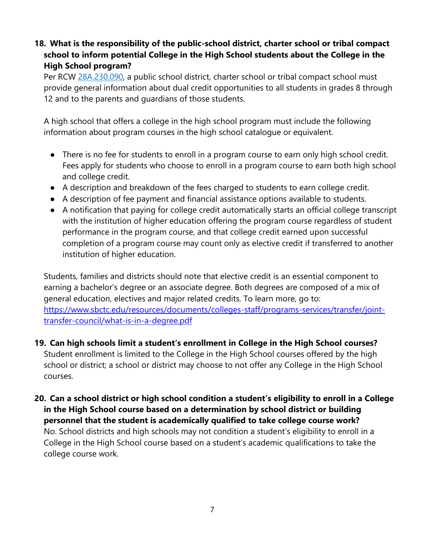## **18. What is the responsibility of the public-school district, charter school or tribal compact school to inform potential College in the High School students about the College in the High School program?**

Per [RCW 28A.230.090, a](https://app.leg.wa.gov/RCW/default.aspx?cite=28a.230.090) public school district, charter school or tribal compact school must provide general information about dual credit opportunities to all students in grades 8 through 12 and to the parents and guardians of those students.

A high school that offers a college in the high school program must include the following information about program courses in the high school catalogue or equivalent.

- There is no fee for students to enroll in a program course to earn only high school credit. Fees apply for students who choose to enroll in a program course to earn both high school and college credit.
- A description and breakdown of the fees charged to students to earn college credit.
- A description of fee payment and financial assistance options available to students.
- A notification that paying for college credit automatically starts an official college transcript with the institution of higher education offering the program course regardless of student performance in the program course, and that college credit earned upon successful completion of a program course may count only as elective credit if transferred to another institution of higher education.

Students, families and districts should note that elective credit is an essential component to earning a bachelor's degree or an associate degree. Both degrees are composed of a mix of general education, electives and major related credits. To learn more, go to: [https://www.sbctc.edu/resources/documents/colleges-staff/programs-services/transfer/joint](https://www.sbctc.edu/resources/documents/colleges-staff/programs-services/transfer/joint-transfer-council/what-is-in-a-degree.pdf)[transfer-council/what-is-in-a-degree.pdf](https://www.sbctc.edu/resources/documents/colleges-staff/programs-services/transfer/joint-transfer-council/what-is-in-a-degree.pdf)

- **19. Can high schools limit a student's enrollment in College in the High School courses?** Student enrollment is limited to the College in the High School courses offered by the high school or district; a school or district may choose to not offer any College in the High School courses.
- **20. Can a school district or high school condition a student's eligibility to enroll in a College in the High School course based on a determination by school district or building personnel that the student is academically qualified to take college course work?** No. School districts and high schools may not condition a student's eligibility to enroll in a College in the High School course based on a student's academic qualifications to take the college course work.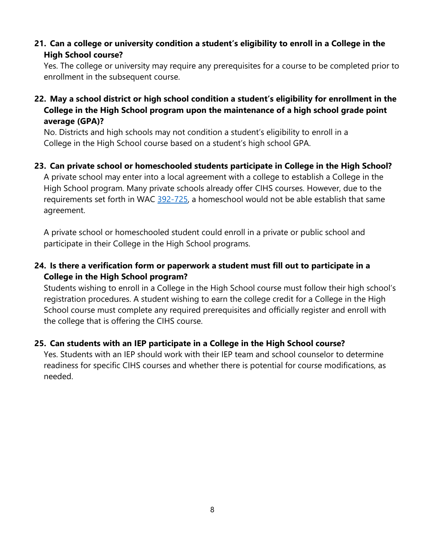## **21. Can a college or university condition a student's eligibility to enroll in a College in the High School course?**

Yes. The college or university may require any prerequisites for a course to be completed prior to enrollment in the subsequent course.

### **22. May a school district or high school condition a student's eligibility for enrollment in the College in the High School program upon the maintenance of a high school grade point average (GPA)?**

No. Districts and high schools may not condition a student's eligibility to enroll in a College in the High School course based on a student's high school GPA.

#### **23. Can private school or homeschooled students participate in College in the High School?**

A private school may enter into a local agreement with a college to establish a College in the High School program. Many private schools already offer CIHS courses. However, due to the requirements set forth in WAC [392-725, a](https://app.leg.wa.gov/WAC/default.aspx?cite=392-725) homeschool would not be able establish that same agreement.

A private school or homeschooled student could enroll in a private or public school and participate in their College in the High School programs.

## <span id="page-7-0"></span>**24. Is there a verification form or paperwork a student must fill out to participate in a College in the High School program?**

Students wishing to enroll in a College in the High School course must follow their high school's registration procedures. A student wishing to earn the college credit for a College in the High School course must complete any required prerequisites and officially register and enroll with the college that is offering the CIHS course.

#### **25. Can students with an IEP participate in a College in the High School course?**

Yes. Students with an IEP should work with their IEP team and school counselor to determine readiness for specific CIHS courses and whether there is potential for course modifications, as needed.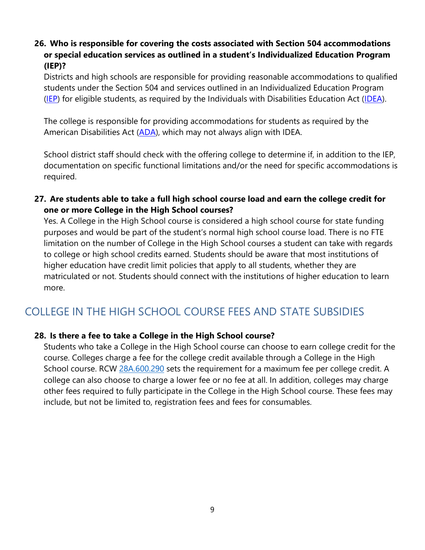## **26. Who is responsible for covering the costs associated with Section 504 accommodations or special education services as outlined in a student's Individualized Education Program (IEP)?**

Districts and high schools are responsible for providing reasonable accommodations to qualified students under the Section 504 and services outlined in an Individualized Education Program [\(IEP\)](https://www.k12.wa.us/student-success/special-education/guidance-families-special-education-washington-state/individualized-education-program-iep) for eligible students, as required by the Individuals with Disabilities Education Act [\(IDEA\)](https://sites.ed.gov/idea/).

The college is responsible for providing accommodations for students as required by the American Disabilities Act [\(ADA\)](https://www.ada.gov/), which may not always align with IDEA.

School district staff should check with the offering college to determine if, in addition to the IEP, documentation on specific functional limitations and/or the need for specific accommodations is required.

**27. Are students able to take a full high school course load and earn the college credit for one or more College in the High School courses?**

Yes. A College in the High School course is considered a high school course for state funding purposes and would be part of the student's normal high school course load. There is no FTE limitation on the number of College in the High School courses a student can take with regards to college or high school credits earned. Students should be aware that most institutions of higher education have credit limit policies that apply to all students, whether they are matriculated or not. Students should connect with the institutions of higher education to learn more.

# COLLEGE IN THE HIGH SCHOOL COURSE FEES AND STATE SUBSIDIES

## **28. Is there a fee to take a College in the High School course?**

Students who take a College in the High School course can choose to earn college credit for the course. Colleges charge a fee for the college credit available through a College in the High School course. RCW [28A.600.290](https://app.leg.wa.gov/RCW/default.aspx?cite=28a.600.290) sets the requirement for a maximum fee per college credit. A college can also choose to charge a lower fee or no fee at all. In addition, colleges may charge other fees required to fully participate in the College in the High School course. These fees may include, but not be limited to, registration fees and fees for consumables.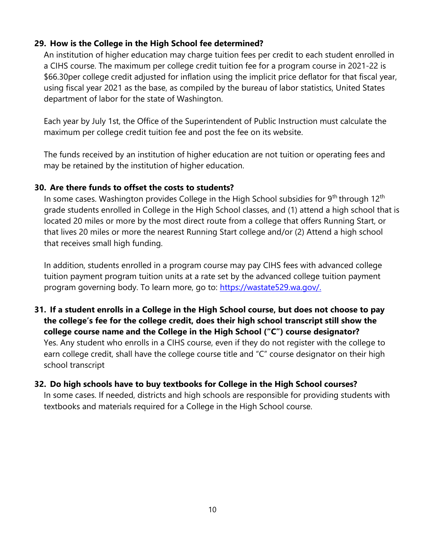#### **29. How is the College in the High School fee determined?**

An institution of higher education may charge tuition fees per credit to each student enrolled in a CIHS course. The maximum per college credit tuition fee for a program course in 2021-22 is \$66.30per college credit adjusted for inflation using the implicit price deflator for that fiscal year, using fiscal year 2021 as the base, as compiled by the bureau of labor statistics, United States department of labor for the state of Washington.

Each year by July 1st, the Office of the Superintendent of Public Instruction must calculate the maximum per college credit tuition fee and post the fee on its website.

The funds received by an institution of higher education are not tuition or operating fees and may be retained by the institution of higher education.

#### **30. Are there funds to offset the costs to students?**

In some cases. Washington provides College in the High School subsidies for  $9<sup>th</sup>$  through 12<sup>th</sup> grade students enrolled in College in the High School classes, and (1) attend a high school that is located 20 miles or more by the most direct route from a college that offers Running Start, or that lives 20 miles or more the nearest Running Start college and/or (2) Attend a high school that receives small high funding.

In addition, students enrolled in a program course may pay CIHS fees with advanced college tuition payment program tuition units at a rate set by the advanced college tuition payment program governing body. To learn more, go to: [https://wastate529.wa.gov/.](https://wastate529.wa.gov/)

**31. If a student enrolls in a College in the High School course, but does not choose to pay the college's fee for the college credit, does their high school transcript still show the college course name and the College in the High School ("C") course designator?**  Yes. Any student who enrolls in a CIHS course, even if they do not register with the college to earn college credit, shall have the college course title and "C" course designator on their high school transcript

## **32. Do high schools have to buy textbooks for College in the High School courses?**

In some cases. If needed, districts and high schools are responsible for providing students with textbooks and materials required for a College in the High School course.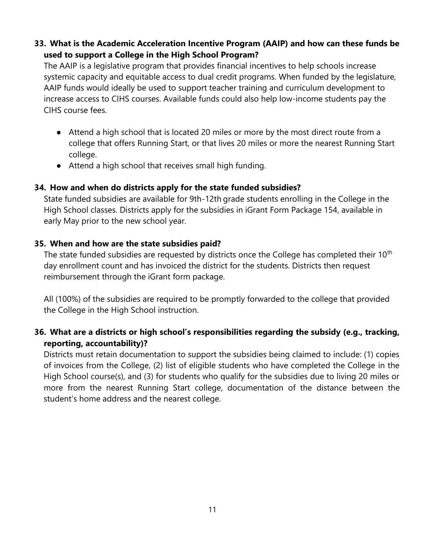## **33. What is the Academic Acceleration Incentive Program (AAIP) and how can these funds be used to support a College in the High School Program?**

The AAIP is a legislative program that provides financial incentives to help schools increase systemic capacity and equitable access to dual credit programs. When funded by the legislature, AAIP funds would ideally be used to support teacher training and curriculum development to increase access to CIHS courses. Available funds could also help low-income students pay the CIHS course fees.

- Attend a high school that is located 20 miles or more by the most direct route from a college that offers Running Start, or that lives 20 miles or more the nearest Running Start college.
- Attend a high school that receives small high funding.

#### **34. How and when do districts apply for the state funded subsidies?**

State funded subsidies are available for 9th-12th grade students enrolling in the College in the High School classes. Districts apply for the subsidies in iGrant Form Package 154, available in early May prior to the new school year.

### **35. When and how are the state subsidies paid?**

The state funded subsidies are requested by districts once the College has completed their 10<sup>th</sup> day enrollment count and has invoiced the district for the students. Districts then request reimbursement through the iGrant form package.

All (100%) of the subsidies are required to be promptly forwarded to the college that provided the College in the High School instruction.

## **36. What are a districts or high school's responsibilities regarding the subsidy (e.g., tracking, reporting, accountability)?**

Districts must retain documentation to support the subsidies being claimed to include: (1) copies of invoices from the College, (2) list of eligible students who have completed the College in the High School course(s), and (3) for students who qualify for the subsidies due to living 20 miles or more from the nearest Running Start college, documentation of the distance between the student's home address and the nearest college.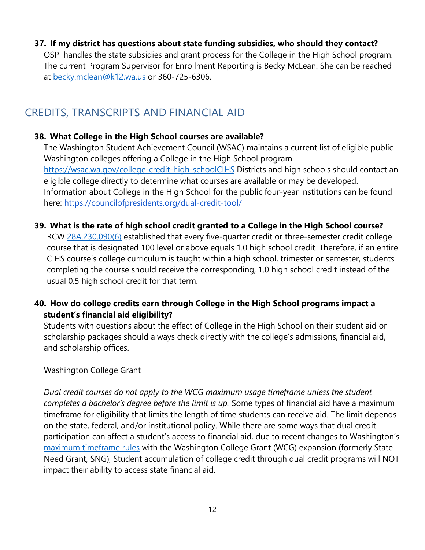#### **37. If my district has questions about state funding subsidies, who should they contact?**

OSPI handles the state subsidies and grant process for the College in the High School program. The current Program Supervisor for Enrollment Reporting is Becky McLean. She can be reached at [becky.mclean@k12.wa.us](mailto:becky.mclean@k12.wa.us) or 360-725-6306.

## <span id="page-11-0"></span>CREDITS, TRANSCRIPTS AND FINANCIAL AID

## **38. What College in the High School courses are available?**

The Washington Student Achievement Council (WSAC) maintains a current list of eligible public Washington colleges offering a College in the High School program [https://wsac.wa.gov/college-credit-high-schoolCIHS](https://wsac.wa.gov/sites/default/files/2020.CiHS.Programs.pdf) Districts and high schools should contact an eligible college directly to determine what courses are available or may be developed. Information about College in the High School for the public four-year institutions can be found here:<https://councilofpresidents.org/dual-credit-tool/>

## **39. What is the rate of high school credit granted to a College in the High School course?**

RCW [28A.230.090\(6\)](https://app.leg.wa.gov/RCW/default.aspx?cite=28a.230.090) [e](https://app.leg.wa.gov/RCW/default.aspx?cite=28a.230.090)stablished that every five-quarter credit or three-semester credit college course that is designated 100 level or above equals 1.0 high school credit. Therefore, if an entire CIHS course's college curriculum is taught within a high school, trimester or semester, students completing the course should receive the corresponding, 1.0 high school credit instead of the usual 0.5 high school credit for that term.

## **40. How do college credits earn through College in the High School programs impact a student's financial aid eligibility?**

Students with questions about the effect of College in the High School on their student aid or scholarship packages should always check directly with the college's admissions, financial aid, and scholarship offices.

## Washington College Grant

*Dual credit courses do not apply to the WCG maximum usage timeframe unless the student completes a bachelor's degree before the limit is up.* Some types of financial aid have a maximum timeframe for eligibility that limits the length of time students can receive aid. The limit depends on the state, federal, and/or institutional policy. While there are some ways that dual credit participation can affect a student's access to financial aid, due to recent changes to Washington's [maximum timeframe rules](https://apps.leg.wa.gov/wac/default.aspx?cite=250-21-011) with the Washington College Grant (WCG) expansion (formerly State Need Grant, SNG), Student accumulation of college credit through dual credit programs will NOT impact their ability to access state financial aid.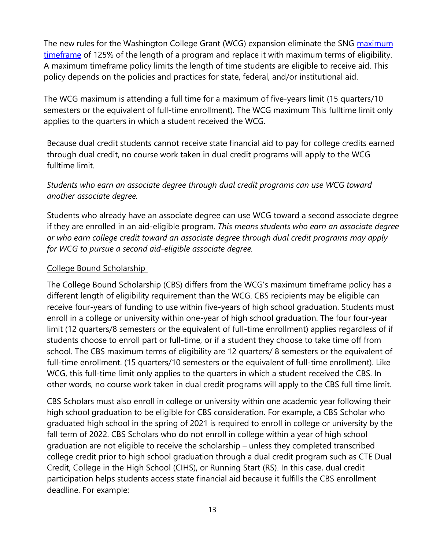The new rules for the Washington College Grant (WCG) expansion eliminate the SNG maximum [timeframe](https://apps.leg.wa.gov/wac/default.aspx?cite=250-21-011) of 125% of the length of a program and replace it with maximum terms of eligibility. A maximum timeframe policy limits the length of time students are eligible to receive aid. This policy depends on the policies and practices for state, federal, and/or institutional aid.

The WCG maximum is attending a full time for a maximum of five-years limit (15 quarters/10 semesters or the equivalent of full-time enrollment). The WCG maximum This fulltime limit only applies to the quarters in which a student received the WCG.

Because dual credit students cannot receive state financial aid to pay for college credits earned through dual credit, no course work taken in dual credit programs will apply to the WCG fulltime limit.

## *Students who earn an associate degree through dual credit programs can use WCG toward another associate degree.*

Students who already have an associate degree can use WCG toward a second associate degree if they are enrolled in an aid-eligible program. *This means students who earn an associate degree or who earn college credit toward an associate degree through dual credit programs may apply for WCG to pursue a second aid-eligible associate degree.* 

#### College Bound Scholarship

The College Bound Scholarship (CBS) differs from the WCG's maximum timeframe policy has a different length of eligibility requirement than the WCG. CBS recipients may be eligible can receive four-years of funding to use within five-years of high school graduation. Students must enroll in a college or university within one-year of high school graduation. The four four-year limit (12 quarters/8 semesters or the equivalent of full-time enrollment) applies regardless of if students choose to enroll part or full-time, or if a student they choose to take time off from school. The CBS maximum terms of eligibility are 12 quarters/ 8 semesters or the equivalent of full-time enrollment. (15 quarters/10 semesters or the equivalent of full-time enrollment). Like WCG, this full-time limit only applies to the quarters in which a student received the CBS. In other words, no course work taken in dual credit programs will apply to the CBS full time limit.

CBS Scholars must also enroll in college or university within one academic year following their high school graduation to be eligible for CBS consideration. For example, a CBS Scholar who graduated high school in the spring of 2021 is required to enroll in college or university by the fall term of 2022. CBS Scholars who do not enroll in college within a year of high school graduation are not eligible to receive the scholarship – unless they completed transcribed college credit prior to high school graduation through a dual credit program such as CTE Dual Credit, College in the High School (CIHS), or Running Start (RS). In this case, dual credit participation helps students access state financial aid because it fulfills the CBS enrollment deadline. For example: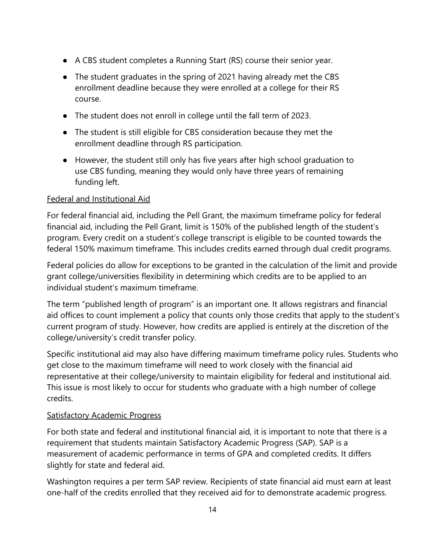- A CBS student completes a Running Start (RS) course their senior year.
- The student graduates in the spring of 2021 having already met the CBS enrollment deadline because they were enrolled at a college for their RS course.
- The student does not enroll in college until the fall term of 2023.
- The student is still eligible for CBS consideration because they met the enrollment deadline through RS participation.
- However, the student still only has five years after high school graduation to use CBS funding, meaning they would only have three years of remaining funding left.

#### Federal and Institutional Aid

For federal financial aid, including the Pell Grant, the maximum timeframe policy for federal financial aid, including the Pell Grant, limit is 150% of the published length of the student's program. Every credit on a student's college transcript is eligible to be counted towards the federal 150% maximum timeframe. This includes credits earned through dual credit programs.

Federal policies do allow for exceptions to be granted in the calculation of the limit and provide grant college/universities flexibility in determining which credits are to be applied to an individual student's maximum timeframe.

The term "published length of program" is an important one. It allows registrars and financial aid offices to count implement a policy that counts only those credits that apply to the student's current program of study. However, how credits are applied is entirely at the discretion of the college/university's credit transfer policy.

Specific institutional aid may also have differing maximum timeframe policy rules. Students who get close to the maximum timeframe will need to work closely with the financial aid representative at their college/university to maintain eligibility for federal and institutional aid. This issue is most likely to occur for students who graduate with a high number of college credits.

#### **Satisfactory Academic Progress**

For both state and federal and institutional financial aid, it is important to note that there is a requirement that students maintain Satisfactory Academic Progress (SAP). SAP is a measurement of academic performance in terms of GPA and completed credits. It differs slightly for state and federal aid.

Washington requires a per term SAP review. Recipients of state financial aid must earn at least one-half of the credits enrolled that they received aid for to demonstrate academic progress.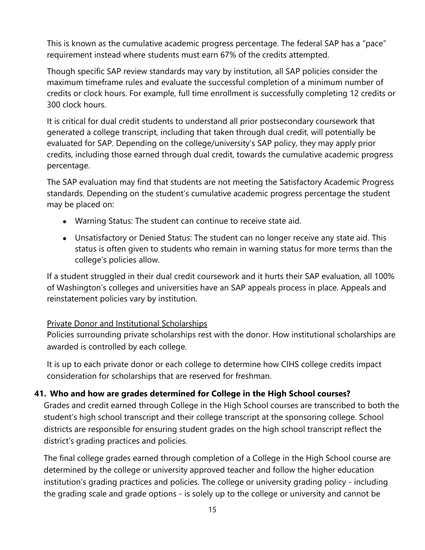This is known as the cumulative academic progress percentage. The federal SAP has a "pace" requirement instead where students must earn 67% of the credits attempted.

Though specific SAP review standards may vary by institution, all SAP policies consider the maximum timeframe rules and evaluate the successful completion of a minimum number of credits or clock hours. For example, full time enrollment is successfully completing 12 credits or 300 clock hours.

It is critical for dual credit students to understand all prior postsecondary coursework that generated a college transcript, including that taken through dual credit, will potentially be evaluated for SAP. Depending on the college/university's SAP policy, they may apply prior credits, including those earned through dual credit, towards the cumulative academic progress percentage.

The SAP evaluation may find that students are not meeting the Satisfactory Academic Progress standards. Depending on the student's cumulative academic progress percentage the student may be placed on:

- Warning Status: The student can continue to receive state aid.
- Unsatisfactory or Denied Status: The student can no longer receive any state aid. This status is often given to students who remain in warning status for more terms than the college's policies allow.

If a student struggled in their dual credit coursework and it hurts their SAP evaluation, all 100% of Washington's colleges and universities have an SAP appeals process in place. Appeals and reinstatement policies vary by institution.

#### Private Donor and Institutional Scholarships

Policies surrounding private scholarships rest with the donor. How institutional scholarships are awarded is controlled by each college.

It is up to each private donor or each college to determine how CIHS college credits impact consideration for scholarships that are reserved for freshman.

## **41. Who and how are grades determined for College in the High School courses?**

Grades and credit earned through College in the High School courses are transcribed to both the student's high school transcript and their college transcript at the sponsoring college. School districts are responsible for ensuring student grades on the high school transcript reflect the district's grading practices and policies.

The final college grades earned through completion of a College in the High School course are determined by the college or university approved teacher and follow the higher education institution's grading practices and policies. The college or university grading policy - including the grading scale and grade options - is solely up to the college or university and cannot be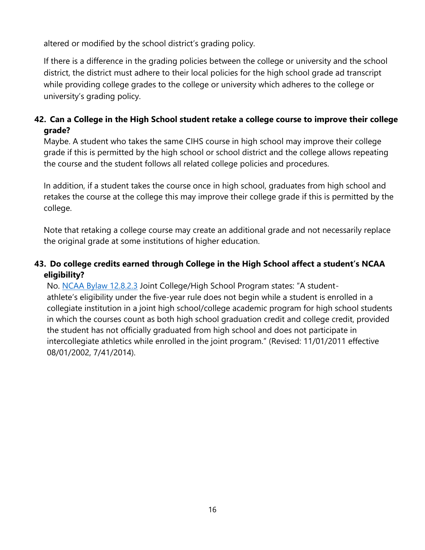altered or modified by the school district's grading policy.

If there is a difference in the grading policies between the college or university and the school district, the district must adhere to their local policies for the high school grade ad transcript while providing college grades to the college or university which adheres to the college or university's grading policy.

## **42. Can a College in the High School student retake a college course to improve their college grade?**

Maybe. A student who takes the same CIHS course in high school may improve their college grade if this is permitted by the high school or school district and the college allows repeating the course and the student follows all related college policies and procedures.

In addition, if a student takes the course once in high school, graduates from high school and retakes the course at the college this may improve their college grade if this is permitted by the college.

Note that retaking a college course may create an additional grade and not necessarily replace the original grade at some institutions of higher education.

## **43. Do college credits earned through College in the High School affect a student's NCAA eligibility?**

No. [NCAA Bylaw 12.8.2.3](https://web3.ncaa.org/lsdbi/search/proposalView?id=3145) Joint College/High School Program states: "A studentathlete's eligibility under the five-year rule does not begin while a student is enrolled in a collegiate institution in a joint high school/college academic program for high school students in which the courses count as both high school graduation credit and college credit, provided the student has not officially graduated from high school and does not participate in intercollegiate athletics while enrolled in the joint program." (Revised: 11/01/2011 effective 08/01/2002, 7/41/2014).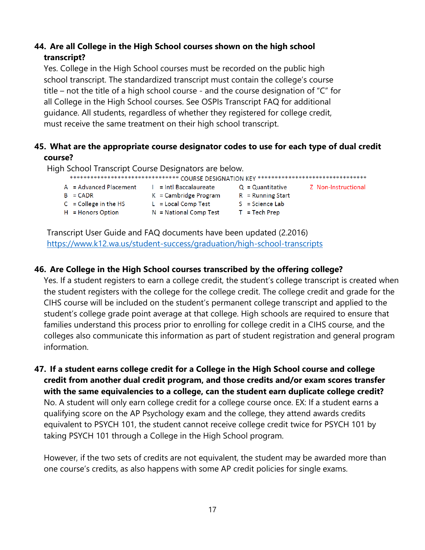## **44. Are all College in the High School courses shown on the high school transcript?**

Yes. College in the High School courses must be recorded on the public high school transcript. The standardized transcript must contain the college's course title – not the title of a high school course - and the course designation of "C" for all College in the High School courses. See OSPIs Transcript FAQ for additional guidance. All students, regardless of whether they registered for college credit, must receive the same treatment on their high school transcript.

## **45. What are the appropriate course designator codes to use for each type of dual credit course?**

High School Transcript Course Designators are below.

| ********************************** COURSE DESIGNATION KEY ****************************** |                              |                     |                     |  |
|------------------------------------------------------------------------------------------|------------------------------|---------------------|---------------------|--|
| $A = Advanced Placement$                                                                 | $\vert$ = Intl Baccalaureate | $Q =$ Quantitative  | Z Non-Instructional |  |
| $B = CADR$                                                                               | $K =$ Cambridge Program      | $R =$ Running Start |                     |  |
| $C =$ College in the HS                                                                  | $L = Local Comp Test$        | $S = Science$       |                     |  |
| $H =$ Honors Option                                                                      | $N = National Comp Test$     | $T = Tech$ Prep     |                     |  |
|                                                                                          |                              |                     |                     |  |

Transcript User Guide and FAQ documents have been updated (2.2016) <https://www.k12.wa.us/student-success/graduation/high-school-transcripts>

#### **46. Are College in the High School courses transcribed by the offering college?**

Yes. If a student registers to earn a college credit, the student's college transcript is created when the student registers with the college for the college credit. The college credit and grade for the CIHS course will be included on the student's permanent college transcript and applied to the student's college grade point average at that college. High schools are required to ensure that families understand this process prior to enrolling for college credit in a CIHS course, and the colleges also communicate this information as part of student registration and general program information.

**47. If a student earns college credit for a College in the High School course and college credit from another dual credit program, and those credits and/or exam scores transfer with the same equivalencies to a college, can the student earn duplicate college credit?** No. A student will only earn college credit for a college course once. EX: If a student earns a qualifying score on the AP Psychology exam and the college, they attend awards credits equivalent to PSYCH 101, the student cannot receive college credit twice for PSYCH 101 by taking PSYCH 101 through a College in the High School program.

However, if the two sets of credits are not equivalent, the student may be awarded more than one course's credits, as also happens with some AP credit policies for single exams.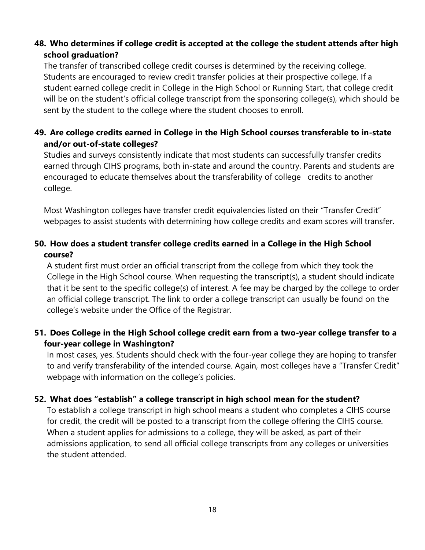## **48. Who determines if college credit is accepted at the college the student attends after high school graduation?**

The transfer of transcribed college credit courses is determined by the receiving college. Students are encouraged to review credit transfer policies at their prospective college. If a student earned college credit in College in the High School or Running Start, that college credit will be on the student's official college transcript from the sponsoring college(s), which should be sent by the student to the college where the student chooses to enroll.

## **49. Are college credits earned in College in the High School courses transferable to in-state and/or out-of-state colleges?**

Studies and surveys consistently indicate that most students can successfully transfer credits earned through CIHS programs, both in-state and around the country. Parents and students are encouraged to educate themselves about the transferability of college credits to another college.

Most Washington colleges have transfer credit equivalencies listed on their "Transfer Credit" webpages to assist students with determining how college credits and exam scores will transfer.

## **50. How does a student transfer college credits earned in a College in the High School course?**

A student first must order an official transcript from the college from which they took the College in the High School course. When requesting the transcript(s), a student should indicate that it be sent to the specific college(s) of interest. A fee may be charged by the college to order an official college transcript. The link to order a college transcript can usually be found on the college's website under the Office of the Registrar.

## **51. Does College in the High School college credit earn from a two-year college transfer to a four-year college in Washington?**

In most cases, yes. Students should check with the four-year college they are hoping to transfer to and verify transferability of the intended course. Again, most colleges have a "Transfer Credit" webpage with information on the college's policies.

## **52. What does "establish" a college transcript in high school mean for the student?**

To establish a college transcript in high school means a student who completes a CIHS course for credit, the credit will be posted to a transcript from the college offering the CIHS course. When a student applies for admissions to a college, they will be asked, as part of their admissions application, to send all official college transcripts from any colleges or universities the student attended.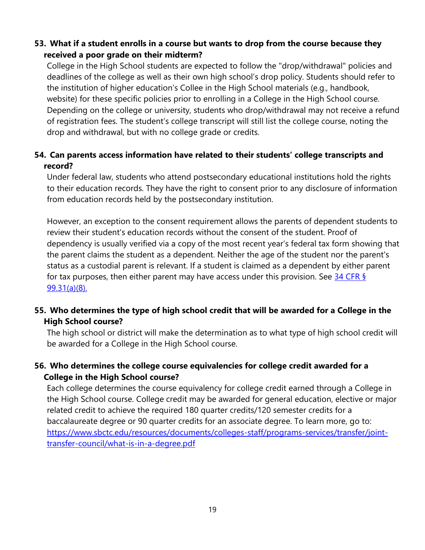## **53. What if a student enrolls in a course but wants to drop from the course because they received a poor grade on their midterm?**

College in the High School students are expected to follow the "drop/withdrawal" policies and deadlines of the college as well as their own high school's drop policy. Students should refer to the institution of higher education's Collee in the High School materials (e.g., handbook, website) for these specific policies prior to enrolling in a College in the High School course. Depending on the college or university, students who drop/withdrawal may not receive a refund of registration fees. The student's college transcript will still list the college course, noting the drop and withdrawal, but with no college grade or credits.

## **54. Can parents access information have related to their students' college transcripts and record?**

Under federal law, students who attend postsecondary educational institutions hold the rights to their education records. They have the right to consent prior to any disclosure of information from education records held by the postsecondary institution.

However, an exception to the consent requirement allows the parents of dependent students to review their student's education records without the consent of the student. Proof of dependency is usually verified via a copy of the most recent year's federal tax form showing that the parent claims the student as a dependent. Neither the age of the student nor the parent's status as a custodial parent is relevant. If a student is claimed as a dependent by either parent for tax purposes, then either parent may have access under this provision. See  $\frac{34 \text{ CFR } 8}{,}$ [99.31\(a\)\(8\).](https://www.govinfo.gov/content/pkg/CFR-2010-title34-vol1/pdf/CFR-2010-title34-vol1-sec99-31.pdf)

## **55. Who determines the type of high school credit that will be awarded for a College in the High School course?**

The high school or district will make the determination as to what type of high school credit will be awarded for a College in the High School course.

## **56. Who determines the college course equivalencies for college credit awarded for a College in the High School course?**

Each college determines the course equivalency for college credit earned through a College in the High School course. College credit may be awarded for general education, elective or major related credit to achieve the required 180 quarter credits/120 semester credits for a baccalaureate degree or 90 quarter credits for an associate degree. To learn more, go to: [https://www.sbctc.edu/resources/documents/colleges-staff/programs-services/transfer/joint](https://www.sbctc.edu/resources/documents/colleges-staff/programs-services/transfer/joint-transfer-council/what-is-in-a-degree.pdf)[transfer-council/what-is-in-a-degree.pdf](https://www.sbctc.edu/resources/documents/colleges-staff/programs-services/transfer/joint-transfer-council/what-is-in-a-degree.pdf)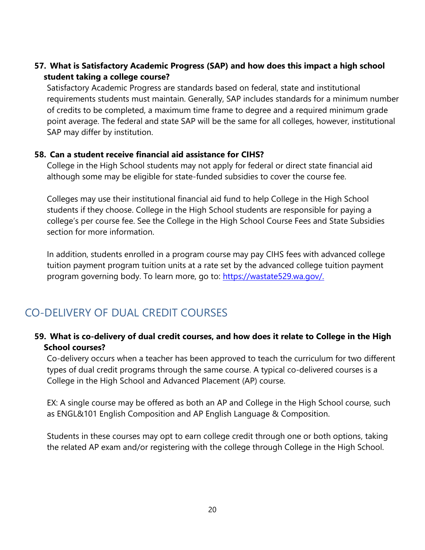## **57. What is Satisfactory Academic Progress (SAP) and how does this impact a high school student taking a college course?**

Satisfactory Academic Progress are standards based on federal, state and institutional requirements students must maintain. Generally, SAP includes standards for a minimum number of credits to be completed, a maximum time frame to degree and a required minimum grade point average. The federal and state SAP will be the same for all colleges, however, institutional SAP may differ by institution.

#### **58. Can a student receive financial aid assistance for CIHS?**

College in the High School students may not apply for federal or direct state financial aid although some may be eligible for state-funded subsidies to cover the course fee.

Colleges may use their institutional financial aid fund to help College in the High School students if they choose. College in the High School students are responsible for paying a college's per course fee. See the College in the High School Course Fees and State Subsidies section for more information.

In addition, students enrolled in a program course may pay CIHS fees with advanced college tuition payment program tuition units at a rate set by the advanced college tuition payment program governing body. To learn more, go to: [https://wastate529.wa.gov/.](https://wastate529.wa.gov/)

# <span id="page-19-0"></span>CO-DELIVERY OF DUAL CREDIT COURSES

## **59. What is co-delivery of dual credit courses, and how does it relate to College in the High School courses?**

Co-delivery occurs when a teacher has been approved to teach the curriculum for two different types of dual credit programs through the same course. A typical co-delivered courses is a College in the High School and Advanced Placement (AP) course.

EX: A single course may be offered as both an AP and College in the High School course, such as ENGL&101 English Composition and AP English Language & Composition.

Students in these courses may opt to earn college credit through one or both options, taking the related AP exam and/or registering with the college through College in the High School.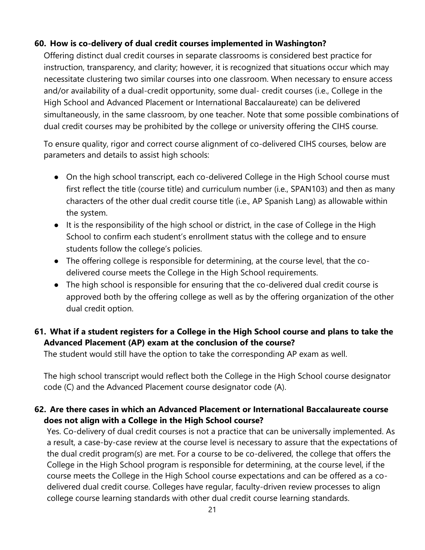#### **60. How is co-delivery of dual credit courses implemented in Washington?**

Offering distinct dual credit courses in separate classrooms is considered best practice for instruction, transparency, and clarity; however, it is recognized that situations occur which may necessitate clustering two similar courses into one classroom. When necessary to ensure access and/or availability of a dual-credit opportunity, some dual- credit courses (i.e., College in the High School and Advanced Placement or International Baccalaureate) can be delivered simultaneously, in the same classroom, by one teacher. Note that some possible combinations of dual credit courses may be prohibited by the college or university offering the CIHS course.

To ensure quality, rigor and correct course alignment of co-delivered CIHS courses, below are parameters and details to assist high schools:

- On the high school transcript, each co-delivered College in the High School course must first reflect the title (course title) and curriculum number (i.e., SPAN103) and then as many characters of the other dual credit course title (i.e., AP Spanish Lang) as allowable within the system.
- It is the responsibility of the high school or district, in the case of College in the High School to confirm each student's enrollment status with the college and to ensure students follow the college's policies.
- The offering college is responsible for determining, at the course level, that the codelivered course meets the College in the High School requirements.
- The high school is responsible for ensuring that the co-delivered dual credit course is approved both by the offering college as well as by the offering organization of the other dual credit option.

## **61. What if a student registers for a College in the High School course and plans to take the Advanced Placement (AP) exam at the conclusion of the course?**

The student would still have the option to take the corresponding AP exam as well.

The high school transcript would reflect both the College in the High School course designator code (C) and the Advanced Placement course designator code (A).

## **62. Are there cases in which an Advanced Placement or International Baccalaureate course does not align with a College in the High School course?**

Yes. Co-delivery of dual credit courses is not a practice that can be universally implemented. As a result, a case-by-case review at the course level is necessary to assure that the expectations of the dual credit program(s) are met. For a course to be co-delivered, the college that offers the College in the High School program is responsible for determining, at the course level, if the course meets the College in the High School course expectations and can be offered as a codelivered dual credit course. Colleges have regular, faculty-driven review processes to align college course learning standards with other dual credit course learning standards.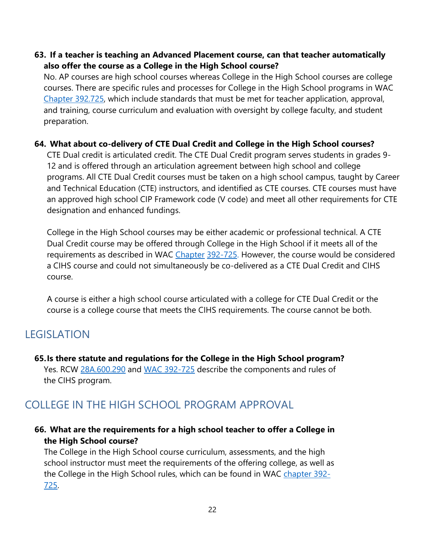#### **63. If a teacher is teaching an Advanced Placement course, can that teacher automatically also offer the course as a College in the High School course?**

No. AP courses are high school courses whereas College in the High School courses are college courses. There are specific rules and processes for College in the High School programs in WAC [Chapter 392.725, w](https://app.leg.wa.gov/WAC/default.aspx?cite=392.725)hich include standards that must be met for teacher application, approval, and training, course curriculum and evaluation with oversight by college faculty, and student preparation.

### **64. What about co-delivery of CTE Dual Credit and College in the High School courses?**

CTE Dual credit is articulated credit. The CTE Dual Credit program serves students in grades 9- 12 and is offered through an articulation agreement between high school and college programs. All CTE Dual Credit courses must be taken on a high school campus, taught by Career and Technical Education (CTE) instructors, and identified as CTE courses. CTE courses must have an approved high school CIP Framework code (V code) and meet all other requirements for CTE designation and enhanced fundings.

College in the High School courses may be either academic or professional technical. A CTE Dual Credit course may be offered through College in the High School if it meets all of the requirements as described in WAC [Chapter](https://app.leg.wa.gov/WAC/default.aspx?cite=392.725) [392-725.](https://app.leg.wa.gov/WAC/default.aspx?cite=392.725) However, the course would be considered a CIHS course and could not simultaneously be co-delivered as a CTE Dual Credit and CIHS course.

A course is either a high school course articulated with a college for CTE Dual Credit or the course is a college course that meets the CIHS requirements. The course cannot be both.

## <span id="page-21-0"></span>LEGISLATION

**65.Is there statute and regulations for the College in the High School program?**  Yes. RCW [28A.600.290](https://app.leg.wa.gov/RCW/default.aspx?cite=28a.600.290) and [WAC 392-725](https://app.leg.wa.gov/WAC/default.aspx?cite=392.725) describe the components and rules of the CIHS program.

## <span id="page-21-1"></span>COLLEGE IN THE HIGH SCHOOL PROGRAM APPROVAL

### **66. What are the requirements for a high school teacher to offer a College in the High School course?**

The College in the High School course curriculum, assessments, and the high school instructor must meet the requirements of the offering college, as well as the College in the High School rules, which can be found in WAC [chapter 392-](https://app.leg.wa.gov/WAC/default.aspx?cite=392.725) [725.](https://app.leg.wa.gov/WAC/default.aspx?cite=392.725)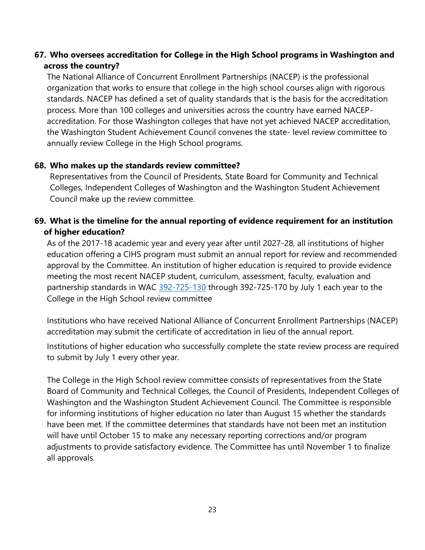## **67. Who oversees accreditation for College in the High School programs in Washington and across the country?**

The National Alliance of Concurrent Enrollment Partnerships (NACEP) is the professional organization that works to ensure that college in the high school courses align with rigorous standards. NACEP has defined a set of quality standards that is the basis for the accreditation process. More than 100 colleges and universities across the country have earned NACEPaccreditation. For those Washington colleges that have not yet achieved NACEP accreditation, the Washington Student Achievement Council convenes the state- level review committee to annually review College in the High School programs.

#### **68. Who makes up the standards review committee?**

Representatives from the Council of Presidents, State Board for Community and Technical Colleges, Independent Colleges of Washington and the Washington Student Achievement Council make up the review committee.

## **69. What is the timeline for the annual reporting of evidence requirement for an institution of higher education?**

As of the 2017-18 academic year and every year after until 2027-28, all institutions of higher education offering a CIHS program must submit an annual report for review and recommended approval by the Committee. An institution of higher education is required to provide evidence meeting the most recent NACEP student, curriculum, assessment, faculty, evaluation and partnership standards in WAC [392-725-130](https://app.leg.wa.gov/WAC/default.aspx?cite=392-725-130) through 392-725-170 by July 1 each year to the College in the High School review committee

Institutions who have received National Alliance of Concurrent Enrollment Partnerships (NACEP) accreditation may submit the certificate of accreditation in lieu of the annual report.

Institutions of higher education who successfully complete the state review process are required to submit by July 1 every other year.

The College in the High School review committee consists of representatives from the State Board of Community and Technical Colleges, the Council of Presidents, Independent Colleges of Washington and the Washington Student Achievement Council. The Committee is responsible for informing institutions of higher education no later than August 15 whether the standards have been met. If the committee determines that standards have not been met an institution will have until October 15 to make any necessary reporting corrections and/or program adjustments to provide satisfactory evidence. The Committee has until November 1 to finalize all approvals.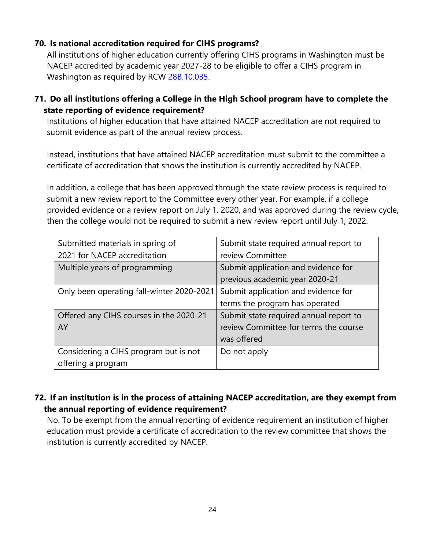## **70. Is national accreditation required for CIHS programs?**

All institutions of higher education currently offering CIHS programs in Washington must be NACEP accredited by academic year 2027-28 to be eligible to offer a CIHS program in Washington as required by RCW 28B.10.035.

**71. Do all institutions offering a College in the High School program have to complete the state reporting of evidence requirement?**

Institutions of higher education that have attained NACEP accreditation are not required to submit evidence as part of the annual review process.

Instead, institutions that have attained NACEP accreditation must submit to the committee a certificate of accreditation that shows the institution is currently accredited by NACEP.

In addition, a college that has been approved through the state review process is required to submit a new review report to the Committee every other year. For example, if a college provided evidence or a review report on July 1, 2020, and was approved during the review cycle, then the college would not be required to submit a new review report until July 1, 2022.

| Submitted materials in spring of          | Submit state required annual report to |
|-------------------------------------------|----------------------------------------|
| 2021 for NACEP accreditation              | review Committee                       |
| Multiple years of programming             | Submit application and evidence for    |
|                                           | previous academic year 2020-21         |
| Only been operating fall-winter 2020-2021 | Submit application and evidence for    |
|                                           | terms the program has operated         |
| Offered any CIHS courses in the 2020-21   | Submit state required annual report to |
| AY                                        | review Committee for terms the course  |
|                                           | was offered                            |
| Considering a CIHS program but is not     | Do not apply                           |
| offering a program                        |                                        |

## **72. If an institution is in the process of attaining NACEP accreditation, are they exempt from the annual reporting of evidence requirement?**

No. To be exempt from the annual reporting of evidence requirement an institution of higher education must provide a certificate of accreditation to the review committee that shows the institution is currently accredited by NACEP.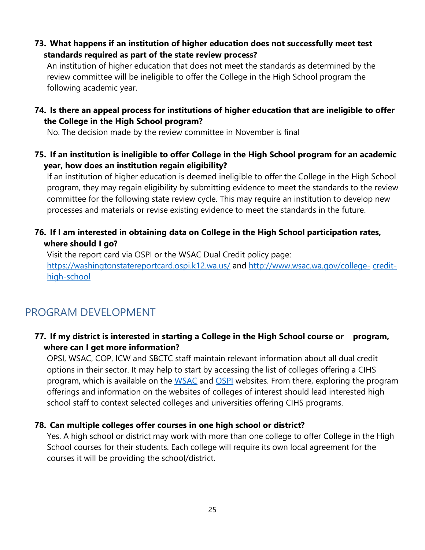**73. What happens if an institution of higher education does not successfully meet test standards required as part of the state review process?**

An institution of higher education that does not meet the standards as determined by the review committee will be ineligible to offer the College in the High School program the following academic year.

**74. Is there an appeal process for institutions of higher education that are ineligible to offer the College in the High School program?**

No. The decision made by the review committee in November is final

**75. If an institution is ineligible to offer College in the High School program for an academic year, how does an institution regain eligibility?**

If an institution of higher education is deemed ineligible to offer the College in the High School program, they may regain eligibility by submitting evidence to meet the standards to the review committee for the following state review cycle. This may require an institution to develop new processes and materials or revise existing evidence to meet the standards in the future.

## **76. If I am interested in obtaining data on College in the High School participation rates, where should I go?**

Visit the report card via OSPI or the WSAC Dual Credit policy page: <https://washingtonstatereportcard.ospi.k12.wa.us/> and [http://www.wsac.wa.gov/college-](http://www.wsac.wa.gov/college-credit-high-school) [credit](http://www.wsac.wa.gov/college-credit-high-school)[high-school](http://www.wsac.wa.gov/college-credit-high-school)

## <span id="page-24-0"></span>PROGRAM DEVELOPMENT

## **77. If my district is interested in starting a College in the High School course or program, where can I get more information?**

OPSI, WSAC, COP, ICW and SBCTC staff maintain relevant information about all dual credit options in their sector. It may help to start by accessing the list of colleges offering a CIHS program, which is available on the [WSAC](https://www.wsac.wa.gov/college-credit-high-school) [a](https://www.wsac.wa.gov/college-credit-high-school)nd [OSPI](https://www.k12.wa.us/student-success/support-programs/dual-credit-programs) [w](https://www.k12.wa.us/student-success/support-programs/dual-credit-programs)ebsites. From there, exploring the program offerings and information on the websites of colleges of interest should lead interested high school staff to context selected colleges and universities offering CIHS programs.

#### **78. Can multiple colleges offer courses in one high school or district?**

Yes. A high school or district may work with more than one college to offer College in the High School courses for their students. Each college will require its own local agreement for the courses it will be providing the school/district.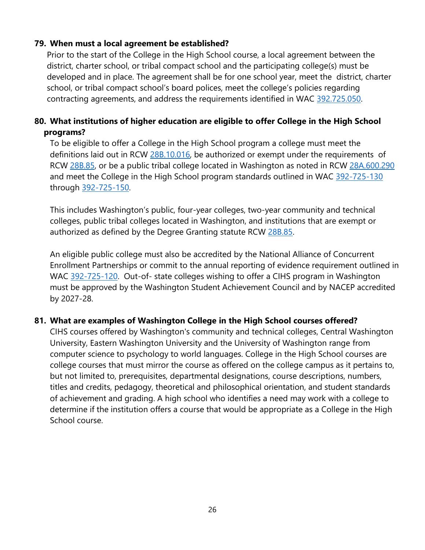## **79. When must a local agreement be established?**

Prior to the start of the College in the High School course, a local agreement between the district, charter school, or tribal compact school and the participating college(s) must be developed and in place. The agreement shall be for one school year, meet the district, charter school, or tribal compact school's board polices, meet the college's policies regarding contracting agreements, and address the requirements identified in WAC [392.725.050.](https://app.leg.wa.gov/WAC/default.aspx?cite=392-725-050)

## **80. What institutions of higher education are eligible to offer College in the High School programs?**

To be eligible to offer a College in the High School program a college must meet the definitions laid out in RCW [28B.10.016, b](https://app.leg.wa.gov/RCW/default.aspx?cite=28b.10.016)e authorized or exempt under the requirements of RCW [28B.85, o](https://app.leg.wa.gov/RCW/default.aspx?cite=28b.85)r be a public tribal college located in Washington as noted in RCW [28A.600.290](https://app.leg.wa.gov/rcw/default.aspx?cite=28A.600.290) and meet the College in the High School program standards outlined in WAC [392-725-130](https://app.leg.wa.gov/WAC/default.aspx?cite=392.725.130) through [392-725-150.](https://app.leg.wa.gov/WAC/default.aspx?cite=392-725-150)

This includes Washington's public, four-year colleges, two-year community and technical colleges, public tribal colleges located in Washington, and institutions that are exempt or authorized as defined by the Degree Granting statute RCW 28B.85.

An eligible public college must also be accredited by the National Alliance of Concurrent Enrollment Partnerships or commit to the annual reporting of evidence requirement outlined in WAC [392-725-120.](https://app.leg.wa.gov/WAC/default.aspx?cite=392-725-130) Out-of- state colleges wishing to offer a CIHS program in Washington must be approved by the Washington Student Achievement Council and by NACEP accredited by 2027-28.

#### **81. What are examples of Washington College in the High School courses offered?**

CIHS courses offered by Washington's community and technical colleges, Central Washington University, Eastern Washington University and the University of Washington range from computer science to psychology to world languages. College in the High School courses are college courses that must mirror the course as offered on the college campus as it pertains to, but not limited to, prerequisites, departmental designations, course descriptions, numbers, titles and credits, pedagogy, theoretical and philosophical orientation, and student standards of achievement and grading. A high school who identifies a need may work with a college to determine if the institution offers a course that would be appropriate as a College in the High School course.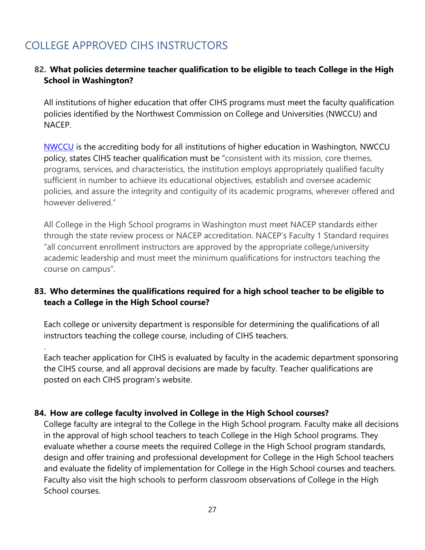# COLLEGE APPROVED CIHS INSTRUCTORS

.

### **82. What policies determine teacher qualification to be eligible to teach College in the High School in Washington?**

All institutions of higher education that offer CIHS programs must meet the faculty qualification policies identified by the Northwest Commission on College and Universities (NWCCU) and NACEP.

[NWCCU](https://nwccu.org/) is the accrediting body for all institutions of higher education in Washington, NWCCU policy, states CIHS teacher qualification must be "consistent with its mission, core themes, programs, services, and characteristics, the institution employs appropriately qualified faculty sufficient in number to achieve its educational objectives, establish and oversee academic policies, and assure the integrity and contiguity of its academic programs, wherever offered and however delivered."

All College in the High School programs in Washington must meet NACEP standards either through the state review process or NACEP accreditation. NACEP's Faculty 1 Standard requires "all concurrent enrollment instructors are approved by the appropriate college/university academic leadership and must meet the minimum qualifications for instructors teaching the course on campus".

## **83. Who determines the qualifications required for a high school teacher to be eligible to teach a College in the High School course?**

Each college or university department is responsible for determining the qualifications of all instructors teaching the college course, including of CIHS teachers.

Each teacher application for CIHS is evaluated by faculty in the academic department sponsoring the CIHS course, and all approval decisions are made by faculty. Teacher qualifications are posted on each CIHS program's website.

#### **84. How are college faculty involved in College in the High School courses?**

College faculty are integral to the College in the High School program. Faculty make all decisions in the approval of high school teachers to teach College in the High School programs. They evaluate whether a course meets the required College in the High School program standards, design and offer training and professional development for College in the High School teachers and evaluate the fidelity of implementation for College in the High School courses and teachers. Faculty also visit the high schools to perform classroom observations of College in the High School courses.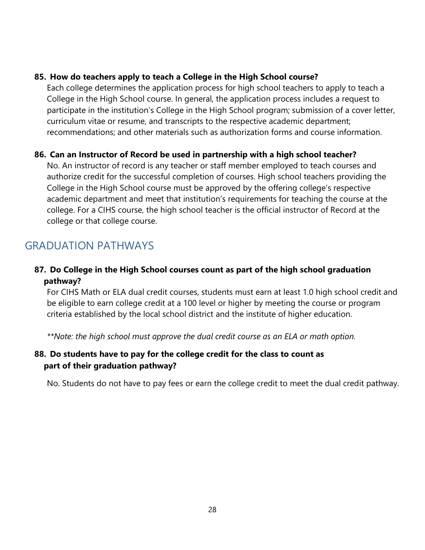#### **85. How do teachers apply to teach a College in the High School course?**

Each college determines the application process for high school teachers to apply to teach a College in the High School course. In general, the application process includes a request to participate in the institution's College in the High School program; submission of a cover letter, curriculum vitae or resume, and transcripts to the respective academic department; recommendations; and other materials such as authorization forms and course information.

## **86. Can an Instructor of Record be used in partnership with a high school teacher?**

No. An instructor of record is any teacher or staff member employed to teach courses and authorize credit for the successful completion of courses. High school teachers providing the College in the High School course must be approved by the offering college's respective academic department and meet that institution's requirements for teaching the course at the college. For a CIHS course, the high school teacher is the official instructor of Record at the college or that college course.

## <span id="page-27-0"></span>GRADUATION PATHWAYS

## **87. Do College in the High School courses count as part of the high school graduation pathway?**

For CIHS Math or ELA dual credit courses, students must earn at least 1.0 high school credit and be eligible to earn college credit at a 100 level or higher by meeting the course or program criteria established by the local school district and the institute of higher education.

*\*\*Note: the high school must approve the dual credit course as an ELA or math option.*

## **88. Do students have to pay for the college credit for the class to count as part of their graduation pathway?**

No. Students do not have to pay fees or earn the college credit to meet the dual credit pathway.